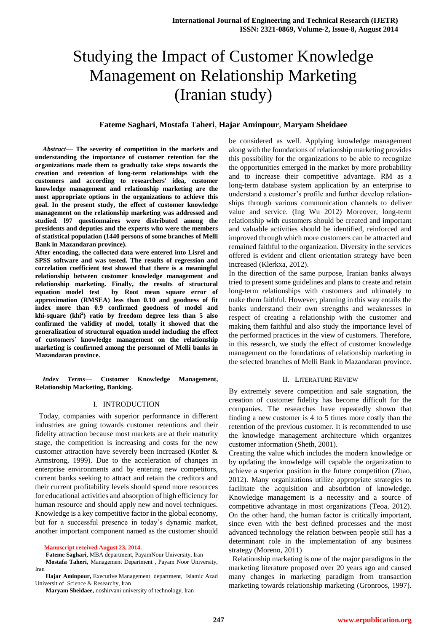# Studying the Impact of Customer Knowledge Management on Relationship Marketing (Iranian study)

# **Fateme Saghari**, **Mostafa Taheri**, **Hajar Aminpour**, **Maryam Sheidaee**

*Abstract***— The severity of competition in the markets and understanding the importance of customer retention for the organizations made them to gradually take steps towards the creation and retention of long-term relationships with the customers and according to researchers' idea, customer knowledge management and relationship marketing are the most appropriate options in the organizations to achieve this goal. In the present study, the effect of customer knowledge management on the relationship marketing was addressed and studied. l97 questionnaires were distributed among the presidents and deputies and the experts who were the members of statistical population (1440 persons of some branches of Melli Bank in Mazandaran province).**

**After encoding, the collected data were entered into Lisrel and SPSS software and was tested. The results of regression and correlation coefficient test showed that there is a meaningful relationship between customer knowledge management and relationship marketing. Finally, the results of structural equation model test by Root mean square error of approximation (RMSEA) less than 0.10 and goodness of fit index more than 0.9 confirmed goodness of model and khi-square (khi<sup>2</sup> ) ratio by freedom degree less than 5 also confirmed the validity of model, totally it showed that the generalization of structural equation model including the effect of customers' knowledge management on the relationship marketing is confirmed among the personnel of Melli banks in Mazandaran province.**

*Index Terms***— Customer Knowledge Management, Relationship Marketing, Banking.**

#### I. INTRODUCTION

 Today, companies with superior performance in different industries are going towards customer retentions and their fidelity attraction because most markets are at their maturity stage, the competition is increasing and costs for the new customer attraction have severely been increased (Kotler & Armstrong, 1999). Due to the acceleration of changes in enterprise environments and by entering new competitors, current banks seeking to attract and retain the creditors and their current profitability levels should spend more resources for educational activities and absorption of high efficiency for human resource and should apply new and novel techniques. Knowledge is a key competitive factor in the global economy, but for a successful presence in today's dynamic market, another important component named as the customer should

**Manuscript received August 23, 2014.**

**Fateme Saghari,** MBA department, PayamNour University, Iran

**Mostafa Taheri,** Management Department , Payam Noor University, Iran

**Hajar Aminpour,** Executive Management department, Islamic Azad Universit of Science & Researchy, Iran

**Maryam Sheidaee,** noshirvani university of technology, Iran

be considered as well. Applying knowledge management along with the foundations of relationship marketing provides this possibility for the organizations to be able to recognize the opportunities emerged in the market by more probability and to increase their competitive advantage. RM as a long-term database system application by an enterprise to understand a customer's profile and further develop relationships through various communication channels to deliver value and service. (Ing Wu 2012) Moreover, long-term relationship with customers should be created and important and valuable activities should be identified, reinforced and improved through which more customers can be attracted and remained faithful to the organization. Diversity in the services offered is evident and client orientation strategy have been increased (Klerkxa, 2012).

In the direction of the same purpose, Iranian banks always tried to present some guidelines and plans to create and retain long-term relationships with customers and ultimately to make them faithful. However, planning in this way entails the banks understand their own strengths and weaknesses in respect of creating a relationship with the customer and making them faithful and also study the importance level of the performed practices in the view of customers. Therefore, in this research, we study the effect of customer knowledge management on the foundations of relationship marketing in the selected branches of Melli Bank in Mazandaran province.

#### II. LITERATURE REVIEW

By extremely severe competition and sale stagnation, the creation of customer fidelity has become difficult for the companies. The researches have repeatedly shown that finding a new customer is 4 to 5 times more costly than the retention of the previous customer. It is recommended to use the knowledge management architecture which organizes customer information (Sheth, 2001).

Creating the value which includes the modern knowledge or by updating the knowledge will capable the organization to achieve a superior position in the future competition (Zhao, 2012). Many organizations utilize appropriate strategies to facilitate the acquisition and absorbtion of knowledge. Knowledge management is a necessity and a source of competitive advantage in most organizations (Teoa, 2012). On the other hand, the human factor is critically important, since even with the best defined processes and the most advanced technology the relation between people still has a determinant role in the implementation of any business strategy (Moreno, 2011)

 Relationship marketing is one of the major paradigms in the marketing literature proposed over 20 years ago and caused many changes in marketing paradigm from transaction marketing towards relationship marketing (Gronroos, 1997).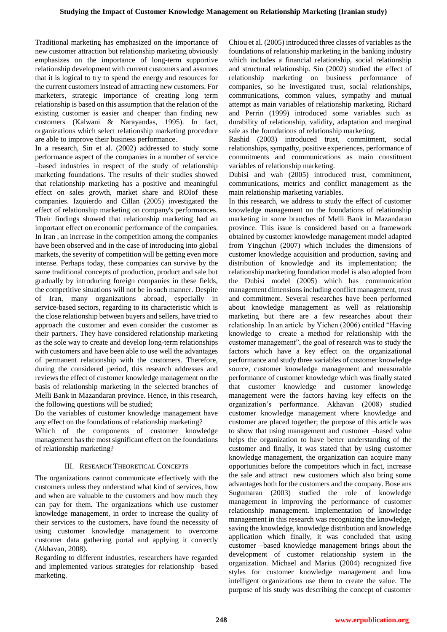Traditional marketing has emphasized on the importance of new customer attraction but relationship marketing obviously emphasizes on the importance of long-term supportive relationship development with current customers and assumes that it is logical to try to spend the energy and resources for the current customers instead of attracting new customers. For marketers, strategic importance of creating long term relationship is based on this assumption that the relation of the existing customer is easier and cheaper than finding new customers (Kalwani & Narayandas, 1995). In fact, organizations which select relationship marketing procedure are able to improve their business performance.

In a research, Sin et al. (2002) addressed to study some performance aspect of the companies in a number of service –based industries in respect of the study of relationship marketing foundations. The results of their studies showed that relationship marketing has a positive and meaningful effect on sales growth, market share and ROIof these companies. Izquierdo and Cillan (2005) investigated the effect of relationship marketing on company's performances. Their findings showed that relationship marketing had an important effect on economic performance of the companies. In Iran , an increase in the competition among the companies have been observed and in the case of introducing into global markets, the severity of competition will be getting even more intense. Perhaps today, these companies can survive by the same traditional concepts of production, product and sale but gradually by introducing foreign companies in these fields, the competitive situations will not be in such manner. Despite of Iran, many organizations abroad, especially in service-based sectors, regarding to its characteristic which is the close relationship between buyers and sellers, have tried to approach the customer and even consider the customer as their partners. They have considered relationship marketing as the sole way to create and develop long-term relationships with customers and have been able to use well the advantages of permanent relationship with the customers. Therefore, during the considered period, this research addresses and reviews the effect of customer knowledge management on the basis of relationship marketing in the selected branches of Melli Bank in Mazandaran province. Hence, in this research, the following questions will be studied;

Do the variables of customer knowledge management have any effect on the foundations of relationship marketing?

Which of the components of customer knowledge management has the most significant effect on the foundations of relationship marketing?

# III. RESEARCH THEORETICAL CONCEPTS

The organizations cannot communicate effectively with the customers unless they understand what kind of services, how and when are valuable to the customers and how much they can pay for them. The organizations which use customer knowledge management, in order to increase the quality of their services to the customers, have found the necessity of using customer knowledge management to overcome customer data gathering portal and applying it correctly (Akhavan, 2008).

Regarding to different industries, researchers have regarded and implemented various strategies for relationship –based marketing.

Chiou et al. (2005) introduced three classes of variables as the foundations of relationship marketing in the banking industry which includes a financial relationship, social relationship and structural relationship. Sin (2002) studied the effect of relationship marketing on business performance of companies, so he investigated trust, social relationships, communications, common values, sympathy and mutual attempt as main variables of relationship marketing. Richard and Perrin (1999) introduced some variables such as durability of relationship, validity, adaptation and marginal sale as the foundations of relationship marketing.

Rashid (2003) introduced trust, commitment, social relationships, sympathy, positive experiences, performance of commitments and communications as main constituent variables of relationship marketing.

Dubisi and wah (2005) introduced trust, commitment, communications, metrics and conflict management as the main relationship marketing variables.

In this research, we address to study the effect of customer knowledge management on the foundations of relationship marketing in some branches of Melli Bank in Mazandaran province. This issue is considered based on a framework obtained by customer knowledge management model adapted from Yingchun (2007) which includes the dimensions of customer knowledge acquisition and production, saving and distribution of knowledge and its implementation; the relationship marketing foundation model is also adopted from the Dubisi model (2005) which has communication management dimensions including conflict management, trust and commitment. Several researches have been performed about knowledge management as well as relationship marketing but there are a few researches about their relationship. In an article by Yichen (2006) entitled "Having knowledge to create a method for relationship with the customer management", the goal of research was to study the factors which have a key effect on the organizational performance and study three variables of customer knowledge source, customer knowledge management and measurable performance of customer knowledge which was finally stated that customer knowledge and customer knowledge management were the factors having key effects on the organization's performance. Akhavan (2008) studied customer knowledge management where knowledge and customer are placed together; the purpose of this article was to show that using management and customer –based value helps the organization to have better understanding of the customer and finally, it was stated that by using customer knowledge management, the organization can acquire many opportunities before the competitors which in fact, increase the sale and attract new customers which also bring some advantages both for the customers and the company. Bose ans Sugumaran (2003) studied the role of knowledge management in improving the performance of customer relationship management. Implementation of knowledge management in this research was recognizing the knowledge, saving the knowledge, knowledge distribution and knowledge application which finally, it was concluded that using customer –based knowledge management brings about the development of customer relationship system in the organization. Michael and Marius (2004) recognized five styles for customer knowledge management and how intelligent organizations use them to create the value. The purpose of his study was describing the concept of customer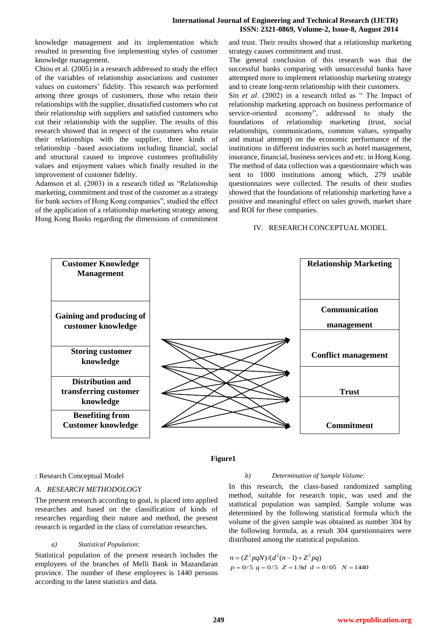## **International Journal of Engineering and Technical Research (IJETR) ISSN: 2321-0869, Volume-2, Issue-8, August 2014**

knowledge management and its implementation which resulted in presenting five implementing styles of customer knowledge management.

Chiou et al. (2005) in a research addressed to study the effect of the variables of relationship associations and customer values on customers' fidelity. This research was performed among three groups of customers, those who retain their relationships with the supplier, dissatisfied customers who cut their relationship with suppliers and satisfied customers who cut their relationship with the supplier. The results of this research showed that in respect of the customers who retain their relationships with the supplier, three kinds of relationship –based associations including financial, social and structural caused to improve customres profitability values and enjoyment values which finally resulted in the improvement of customer fidelity.

Adamson et al. (2003) in a research titled as "Relationship marketing, commitment and trust of the customer as a strategy for bank sectors of Hong Kong companies", studied the effect of the application of a relationship marketing strategy among Hong Kong Banks regarding the dimensions of commitment and trust. Their results showed that a relationship marketing strategy causes commitment and trust.

The general conclusion of this research was that the successful banks comparing with unsuccessful banks have attempted more to implement relationship marketing strategy and to create long-term relationship with their customers.

Sin *et al.* (2002) in a research titled as " The Impact of relationship marketing approach on business performance of service-oriented economy", addressed to study the foundations of relationship marketing (trust, social relationships, communications, common values, sympathy and mutual attempt) on the economic performance of the institutions in different industries such as hotel management, insurance, financial, business services and etc. in Hong Kong. The method of data collection was a questionnaire which was sent to 1000 institutions among which, 279 usable questionnaires were collected. The results of their studies showed that the foundations of relationship marketing have a positive and meaningful effect on sales growth, market share and ROI for these companies.

## IV. RESEARCH CONCEPTUAL MODEL



### **Figure1**

#### : Research Conceptual Model

## *A. RESEARCH METHODOLOGY*

The present research according to goal, is placed into applied researches and based on the classification of kinds of researches regarding their nature and method, the present research is regarded in the class of correlation researches.

#### *a) Statistical Population:*

Statistical population of the present research includes the employees of the branches of Melli Bank in Mazandaran province. The number of these employees is 1440 persons according to the latest statistics and data.

#### *b) Determination of Sample Volume:*

In this research, the class-based randomized sampling method, suitable for research topic, was used and the statistical population was sampled. Sample volume was determined by the following statistical formula which the volume of the given sample was obtained as number 304 by the following formula, as a result 304 questionnaires were distributed among the statistical population.

 $n = (Z^2 pqN)/(d^2(n-1) + Z^2 pq)$  $p = 0/5$   $q = 0/5$   $Z = 1.9d$   $d = 0/05$   $N = 1440$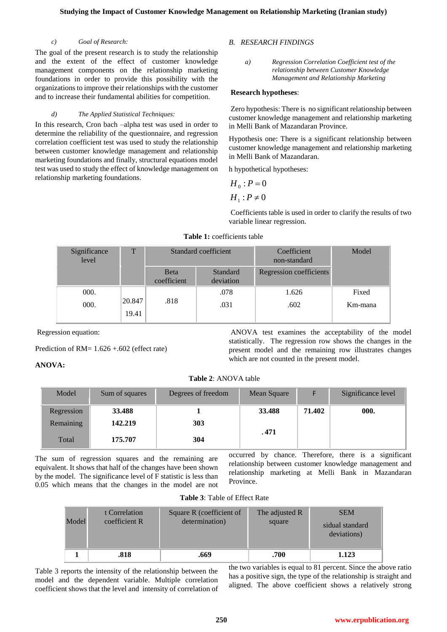#### *c) Goal of Research:*

The goal of the present research is to study the relationship and the extent of the effect of customer knowledge management components on the relationship marketing foundations in order to provide this possibility with the organizations to improve their relationships with the customer and to increase their fundamental abilities for competition.

## *d) The Applied Statistical Techniques:*

In this research, Cron bach –alpha test was used in order to determine the reliability of the questionnaire, and regression correlation coefficient test was used to study the relationship between customer knowledge management and relationship marketing foundations and finally, structural equations model test was used to study the effect of knowledge management on relationship marketing foundations.

# *B. RESEARCH FINDINGS*

*a) Regression Correlation Coefficient test of the relationship between Customer Knowledge Management and Relationship Marketing*

## **Research hypotheses**:

Zero hypothesis: There is no significant relationship between customer knowledge management and relationship marketing in Melli Bank of Mazandaran Province.

Hypothesis one: There is a significant relationship between customer knowledge management and relationship marketing in Melli Bank of Mazandaran.

h hypothetical hypotheses:

$$
H_0: P=0
$$

 $H_1$ :  $P \neq 0$ 

Coefficients table is used in order to clarify the results of two variable linear regression.

| T               | Standard coefficient        |                       | Coefficient<br>non-standard | Model   |
|-----------------|-----------------------------|-----------------------|-----------------------------|---------|
|                 | <b>B</b> eta<br>coefficient | Standard<br>deviation | Regression coefficients     |         |
|                 |                             | .078                  | 1.626                       | Fixed   |
| 20.847<br>19.41 | .818                        | .031                  | .602                        | Km-mana |
|                 |                             |                       |                             |         |

**Table 1:** coefficients table

Regression equation:

Prediction of RM= 1.626 +.602 (effect rate)

# **ANOVA:**

ANOVA test examines the acceptability of the model statistically. The regression row shows the changes in the present model and the remaining row illustrates changes which are not counted in the present model.

**Table 2**: ANOVA table

| Model      | Sum of squares | Degrees of freedom | Mean Square |        | Significance level |
|------------|----------------|--------------------|-------------|--------|--------------------|
| Regression | 33.488         |                    | 33.488      | 71.402 | 000.               |
| Remaining  | 142.219        | 303                |             |        |                    |
| Total      | 175.707        | 304                | . 471       |        |                    |

The sum of regression squares and the remaining are equivalent. It shows that half of the changes have been shown by the model. The significance level of F statistic is less than 0.05 which means that the changes in the model are not

occurred by chance. Therefore, there is a significant relationship between customer knowledge management and relationship marketing at Melli Bank in Mazandaran Province.

|  |  | <b>Table 3:</b> Table of Effect Rate |  |
|--|--|--------------------------------------|--|
|--|--|--------------------------------------|--|

| Model | t Correlation<br>coefficient R | Square R (coefficient of<br>determination) | The adjusted R<br>square | <b>SEM</b><br>sidual standard<br>deviations) |
|-------|--------------------------------|--------------------------------------------|--------------------------|----------------------------------------------|
|       | .818                           | .669                                       | .700                     | 1.123                                        |

Table 3 reports the intensity of the relationship between the model and the dependent variable. Multiple correlation coefficient shows that the level and intensity of correlation of the two variables is equal to 81 percent. Since the above ratio has a positive sign, the type of the relationship is straight and aligned. The above coefficient shows a relatively strong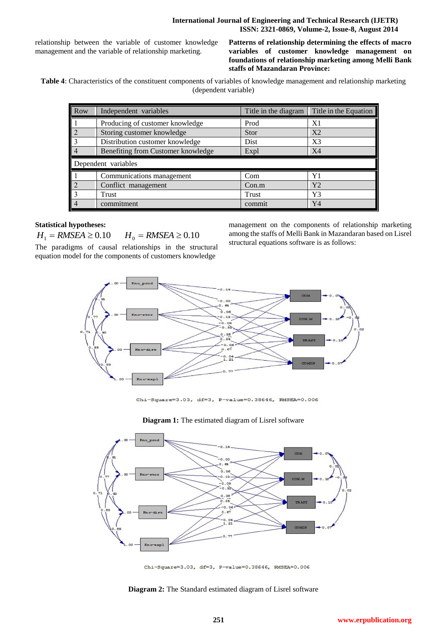relationship between the variable of customer knowledge management and the variable of relationship marketing.

**Patterns of relationship determining the effects of macro variables of customer knowledge management on foundations of relationship marketing among Melli Bank staffs of Mazandaran Province:**

**Table 4**: Characteristics of the constituent components of variables of knowledge management and relationship marketing (dependent variable)

| Row | Independent variables              | Title in the diagram | Title in the Equation |  |  |  |
|-----|------------------------------------|----------------------|-----------------------|--|--|--|
|     | Producing of customer knowledge    | Prod                 | X1                    |  |  |  |
|     | Storing customer knowledge         | <b>Stor</b>          | X <sub>2</sub>        |  |  |  |
|     | Distribution customer knowledge    | Dist                 | X3                    |  |  |  |
|     | Benefiting from Customer knowledge | Expl                 | X <sub>4</sub>        |  |  |  |
|     | Dependent variables                |                      |                       |  |  |  |
|     | Communications management          | Com                  | Y1                    |  |  |  |
|     |                                    |                      |                       |  |  |  |
|     | Conflict management                | Con.m                | Y <sub>2</sub>        |  |  |  |
|     | Trust                              | Trust                | Y3                    |  |  |  |

# **Statistical hypotheses:**

 $H_1 = RMSEA \ge 0.10$  *H*<sub>0</sub>  $= RMSEA \ge 0.10$ 

The paradigms of causal relationships in the structural equation model for the components of customers knowledge

management on the components of relationship marketing among the staffs of Melli Bank in Mazandaran based on Lisrel structural equations software is as follows:



Chi-Square=3.03, df=3, P-value=0.38646, RMSEA=0.006

# **Diagram 1:** The estimated diagram of Lisrel software



Chi-Square=3.03, df=3, P-value=0.38646, RMSEA=0.006

**Diagram 2:** The Standard estimated diagram of Lisrel software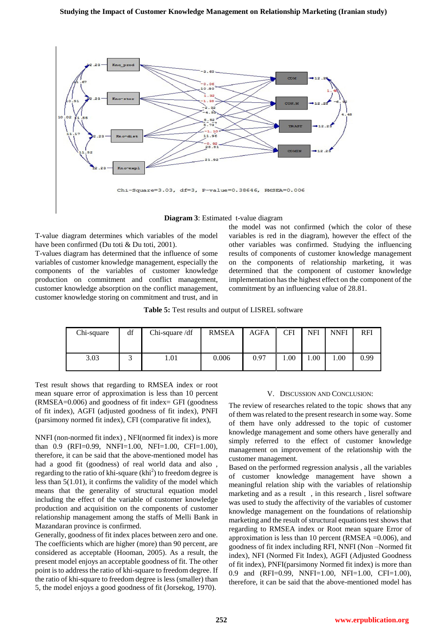

**Diagram 3**: Estimated t-value diagram

T-value diagram determines which variables of the model have been confirmed (Du toti & Du toti, 2001).

T-values diagram has determined that the influence of some variables of customer knowledge management, especially the components of the variables of customer knowledge production on commitment and conflict management, customer knowledge absorption on the conflict management, customer knowledge storing on commitment and trust, and in

the model was not confirmed (which the color of these variables is red in the diagram), however the effect of the other variables was confirmed. Studying the influencing results of components of customer knowledge management on the components of relationship marketing, it was determined that the component of customer knowledge implementation has the highest effect on the component of the commitment by an influencing value of 28.81.

**Table 5:** Test results and output of LISREL software

| Chi-square | df | Chi-square /df | <b>RMSEA</b> | <b>AGFA</b> | CFI  | <b>NFI</b> | <b>NNFI</b> | <b>RFI</b> |
|------------|----|----------------|--------------|-------------|------|------------|-------------|------------|
| 3.03       |    | 1.01           | 0.006        | 0.97        | .00. | 00.1       | 1.00        | 0.99       |

Test result shows that regarding to RMSEA index or root mean square error of approximation is less than 10 percent (RMSEA=0.006) and goodness of fit index= GFI (goodness of fit index), AGFI (adjusted goodness of fit index), PNFI (parsimony normed fit index), CFI (comparative fit index),

NNFI (non-normed fit index) , NFI(normed fit index) is more than 0.9 (RFI=0.99, NNFI=1.00, NFI=1.00, CFI=1.00), therefore, it can be said that the above-mentioned model has had a good fit (goodness) of real world data and also , regarding to the ratio of khi-square  $(khi<sup>2</sup>)$  to freedom degree is less than 5(1.01), it confirms the validity of the model which means that the generality of structural equation model including the effect of the variable of customer knowledge production and acquisition on the components of customer relationship management among the staffs of Melli Bank in Mazandaran province is confirmed.

Generally, goodness of fit index places between zero and one. The coefficients which are higher (more) than 90 percent, are considered as acceptable (Hooman, 2005). As a result, the present model enjoys an acceptable goodness of fit. The other point is to address the ratio of khi-square to freedom degree. If the ratio of khi-square to freedom degree is less (smaller) than 5, the model enjoys a good goodness of fit (Jorsekog, 1970).

# V. DISCUSSION AND CONCLUSION:

The review of researches related to the topic shows that any of them was related to the present research in some way. Some of them have only addressed to the topic of customer knowledge management and some others have generally and simply referred to the effect of customer knowledge management on improvement of the relationship with the customer management.

Based on the performed regression analysis , all the variables of customer knowledge management have shown a meaningful relation ship with the variables of relationship marketing and as a result , in this research , lisrel software was used to study the affectivity of the variables of customer knowledge management on the foundations of relationship marketing and the result of structural equations test shows that regarding to RMSEA index or Root mean square Error of approximation is less than 10 percent (RMSEA  $=0.006$ ), and goodness of fit index including RFI, NNFI (Non –Normed fit index), NFI (Normed Fit Index), AGFI (Adjusted Goodness of fit index), PNFI(parsimony Normed fit index) is more than 0.9 and (RFI=0.99, NNFI=1.00, NFI=1.00, CFI=1.00), therefore, it can be said that the above-mentioned model has